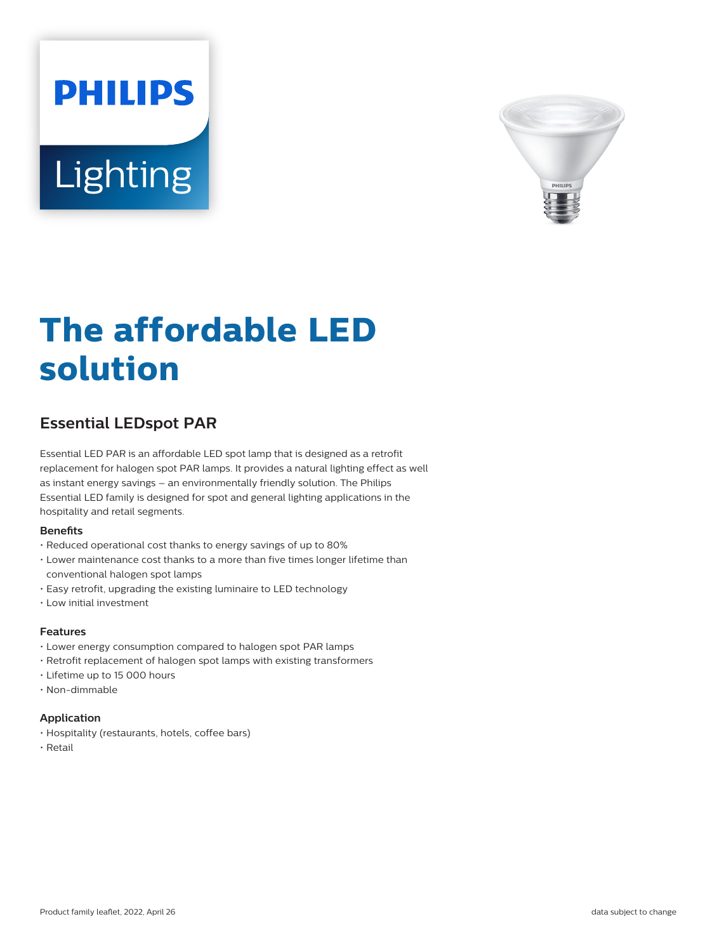# **PHILIPS** Lighting



# **The affordable LED solution**

## **Essential LEDspot PAR**

Essential LED PAR is an affordable LED spot lamp that is designed as a retrofit replacement for halogen spot PAR lamps. It provides a natural lighting effect as well as instant energy savings – an environmentally friendly solution. The Philips Essential LED family is designed for spot and general lighting applications in the hospitality and retail segments.

#### **Benets**

- Reduced operational cost thanks to energy savings of up to 80%
- Lower maintenance cost thanks to a more than five times longer lifetime than conventional halogen spot lamps
- Easy retrofit, upgrading the existing luminaire to LED technology
- Low initial investment

#### **Features**

- Lower energy consumption compared to halogen spot PAR lamps
- Retrofit replacement of halogen spot lamps with existing transformers
- Lifetime up to 15 000 hours
- Non-dimmable

#### **Application**

- Hospitality (restaurants, hotels, coffee bars)
- Retail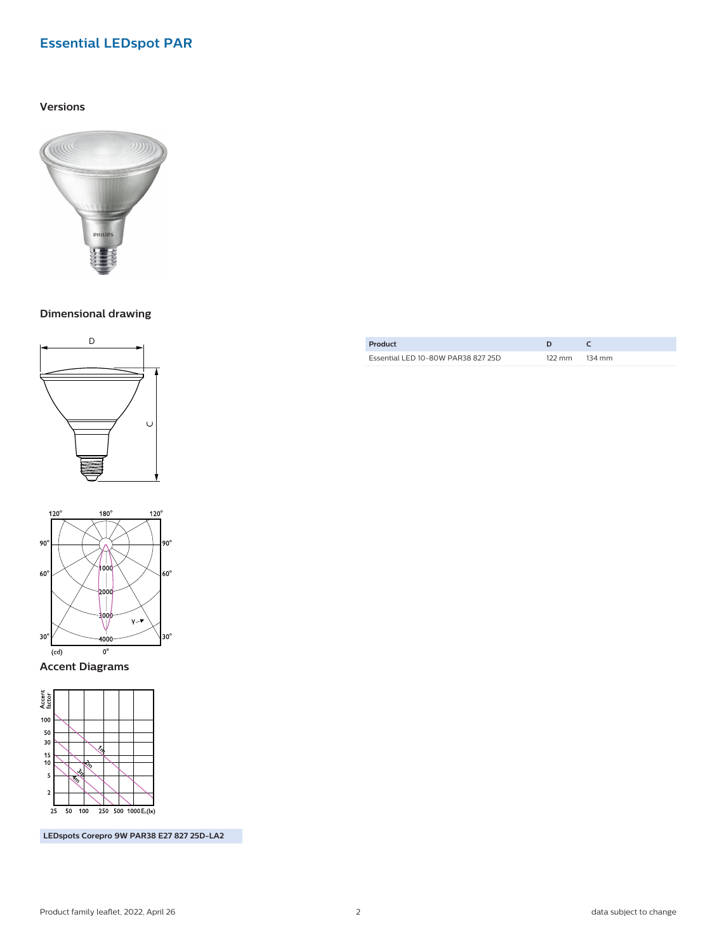### **Essential LEDspot PAR**

#### **Versions**



**Dimensional drawing**





**Accent Diagrams**



**LEDspots Corepro 9W PAR38 E27 827 25D-LA2**

| Product                            |        |        |
|------------------------------------|--------|--------|
| Essential LED 10-80W PAR38 827 25D | 122 mm | 134 mm |